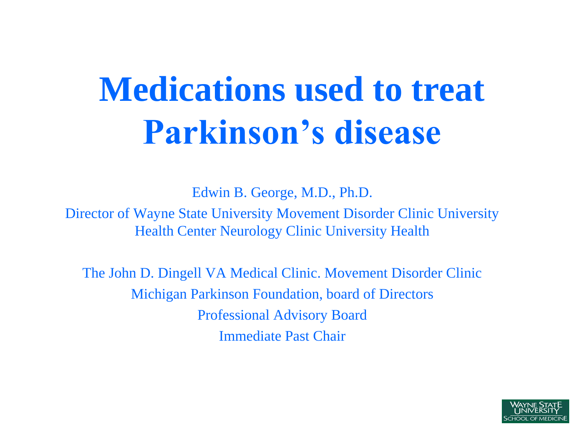## **Medications used to treat Parkinson's disease**

Edwin B. George, M.D., Ph.D.

Director of Wayne State University Movement Disorder Clinic University Health Center Neurology Clinic University Health

The John D. Dingell VA Medical Clinic. Movement Disorder Clinic Michigan Parkinson Foundation, board of Directors Professional Advisory Board Immediate Past Chair

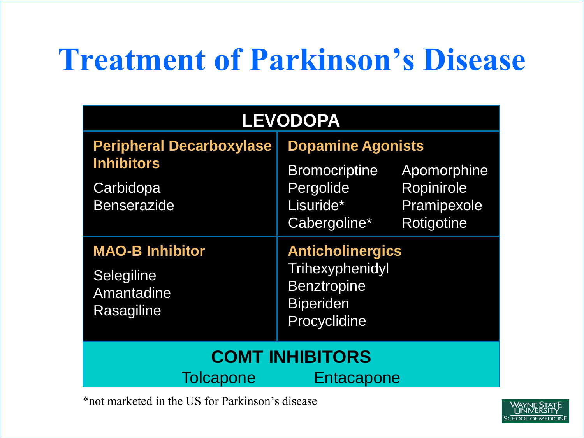### **Treatment of Parkinson's Disease**

| <b>LEVODOPA</b>                                                                         |                                                                                                      |                                                        |  |  |
|-----------------------------------------------------------------------------------------|------------------------------------------------------------------------------------------------------|--------------------------------------------------------|--|--|
| <b>Peripheral Decarboxylase</b><br><b>Inhibitors</b><br>Carbidopa<br><b>Benserazide</b> | <b>Dopamine Agonists</b><br><b>Bromocriptine</b><br>Pergolide<br>Lisuride*<br>Cabergoline*           | Apomorphine<br>Ropinirole<br>Pramipexole<br>Rotigotine |  |  |
| <b>MAO-B Inhibitor</b><br>Selegiline<br>Amantadine<br>Rasagiline                        | <b>Anticholinergics</b><br>Trihexyphenidyl<br><b>Benztropine</b><br><b>Biperiden</b><br>Procyclidine |                                                        |  |  |
| <b>COMT INHIBITORS</b><br><b>Tolcapone</b><br>Entacapone                                |                                                                                                      |                                                        |  |  |

\*not marketed in the US for Parkinson's disease

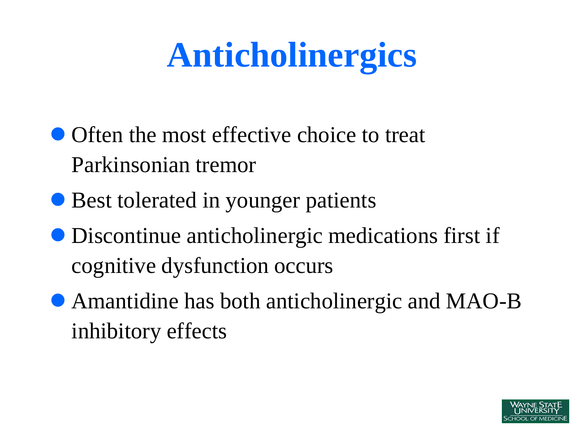## **Anticholinergics**

- Often the most effective choice to treat Parkinsonian tremor
- Best tolerated in younger patients
- Discontinue anticholinergic medications first if cognitive dysfunction occurs
- Amantidine has both anticholinergic and MAO-B inhibitory effects

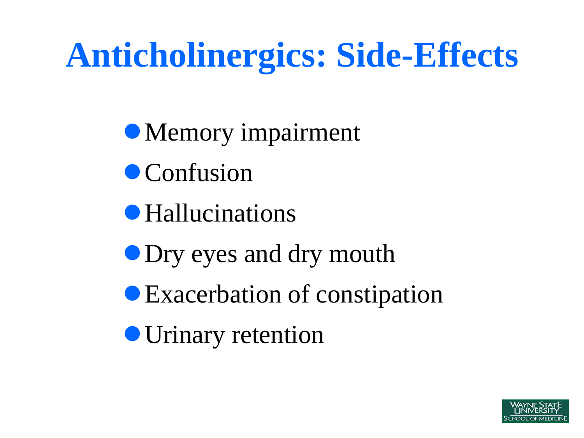## **Anticholinergics: Side-Effects**

• Memory impairment

- Confusion
- Hallucinations
- **Dry eyes and dry mouth**
- Exacerbation of constipation
- Urinary retention

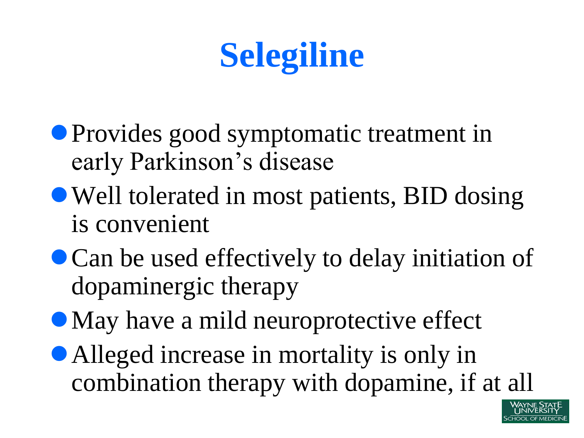

- Provides good symptomatic treatment in early Parkinson's disease
- Well tolerated in most patients, BID dosing is convenient
- Can be used effectively to delay initiation of dopaminergic therapy
- May have a mild neuroprotective effect
- Alleged increase in mortality is only in combination therapy with dopamine, if at all

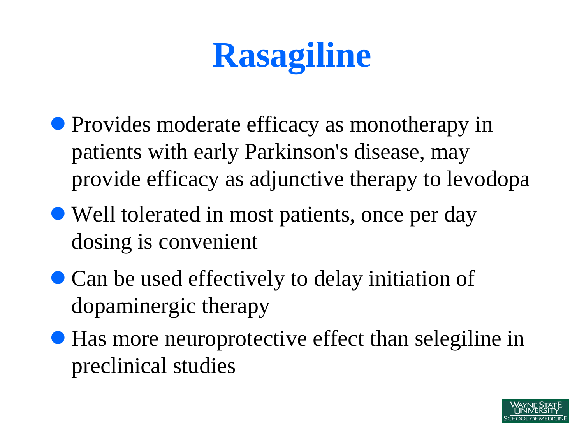## **Rasagiline**

- Provides moderate efficacy as monotherapy in patients with early Parkinson's disease, may provide efficacy as adjunctive therapy to levodopa
- Well tolerated in most patients, once per day dosing is convenient
- Can be used effectively to delay initiation of dopaminergic therapy
- Has more neuroprotective effect than selegiline in preclinical studies

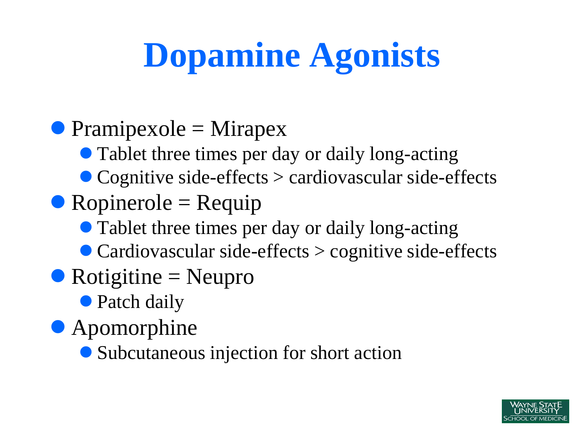# **Dopamine Agonists**

### $\bullet$  Pramipexole = Mirapex

- Tablet three times per day or daily long-acting
- Cognitive side-effects > cardiovascular side-effects

#### $\bullet$  Ropinerole = Requip

- Tablet three times per day or daily long-acting
- Cardiovascular side-effects > cognitive side-effects
- $\bullet$  Rotigitine = Neupro
	- Patch daily
- Apomorphine
	- Subcutaneous injection for short action

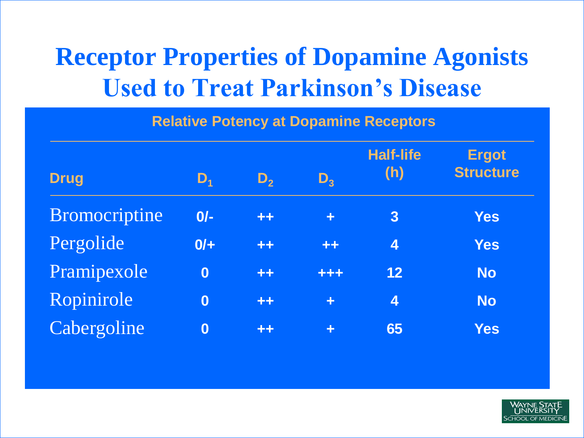### **Receptor Properties of Dopamine Agonists Used to Treat Parkinson's Disease**

**Relative Potency at Dopamine Receptors**

| <b>Drug</b>   | $\mathbf{D}_1$   | $D_{2}$ | $D_{3}$              | <b>Half-life</b><br>(h) | <b>Ergot</b><br><b>Structure</b> |
|---------------|------------------|---------|----------------------|-------------------------|----------------------------------|
| Bromocriptine | $0/-$            | $+ +$   | $\ddot{\phantom{1}}$ | $\overline{3}$          | <b>Yes</b>                       |
| Pergolide     | $0/+$            | $+ +$   | $+ +$                | 4                       | <b>Yes</b>                       |
| Pramipexole   | $\bf{0}$         | $+ +$   | +++                  | 12                      | <b>No</b>                        |
| Ropinirole    | $\boldsymbol{0}$ | $++$    | ÷                    | 4                       | <b>No</b>                        |
| Cabergoline   | $\bf{0}$         | $+ +$   | ÷                    | 65                      | <b>Yes</b>                       |

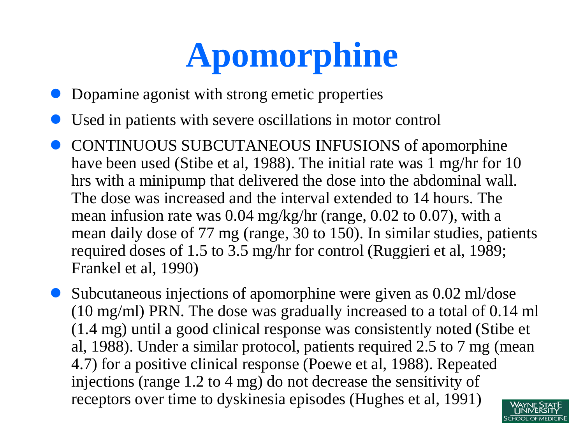# **Apomorphine**

- Dopamine agonist with strong emetic properties
- Used in patients with severe oscillations in motor control
- CONTINUOUS SUBCUTANEOUS INFUSIONS of apomorphine have been used (Stibe et al, 1988). The initial rate was 1 mg/hr for 10 hrs with a minipump that delivered the dose into the abdominal wall. The dose was increased and the interval extended to 14 hours. The mean infusion rate was 0.04 mg/kg/hr (range, 0.02 to 0.07), with a mean daily dose of 77 mg (range, 30 to 150). In similar studies, patients required doses of 1.5 to 3.5 mg/hr for control (Ruggieri et al, 1989; Frankel et al, 1990)

 Subcutaneous injections of apomorphine were given as 0.02 ml/dose (10 mg/ml) PRN. The dose was gradually increased to a total of 0.14 ml (1.4 mg) until a good clinical response was consistently noted (Stibe et al, 1988). Under a similar protocol, patients required 2.5 to 7 mg (mean 4.7) for a positive clinical response (Poewe et al, 1988). Repeated injections (range 1.2 to 4 mg) do not decrease the sensitivity of receptors over time to dyskinesia episodes (Hughes et al, 1991)

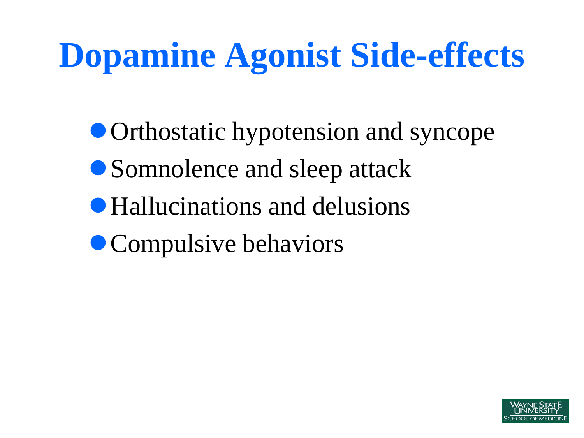### **Dopamine Agonist Side-effects**

- Orthostatic hypotension and syncope
- Somnolence and sleep attack
- Hallucinations and delusions
- Compulsive behaviors

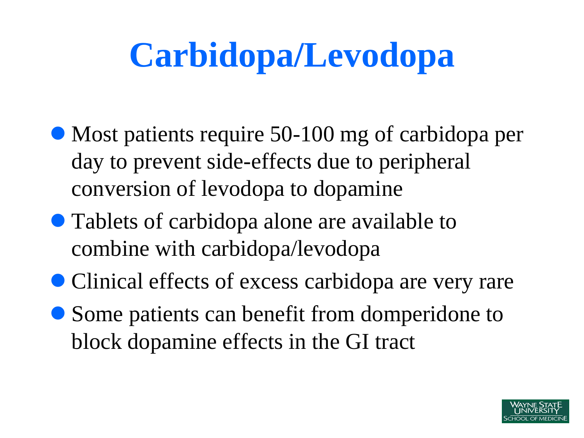# **Carbidopa/Levodopa**

- Most patients require 50-100 mg of carbidopa per day to prevent side-effects due to peripheral conversion of levodopa to dopamine
- Tablets of carbidopa alone are available to combine with carbidopa/levodopa
- Clinical effects of excess carbidopa are very rare
- Some patients can benefit from domperidone to block dopamine effects in the GI tract

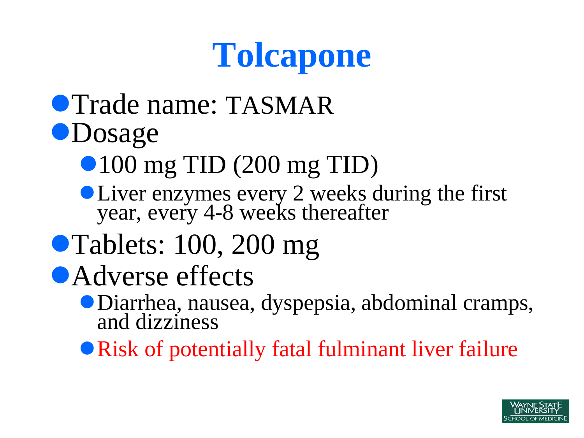### **Tolcapone**

### **• Trade name: TASMAR OD**osage

- 100 mg TID (200 mg TID)
- **OLiver enzymes every 2 weeks during the first** year, every 4-8 weeks thereafter

### • Tablets: 100, 200 mg

- Adverse effects
	- Diarrhea, nausea, dyspepsia, abdominal cramps, and dizziness
	- Risk of potentially fatal fulminant liver failure

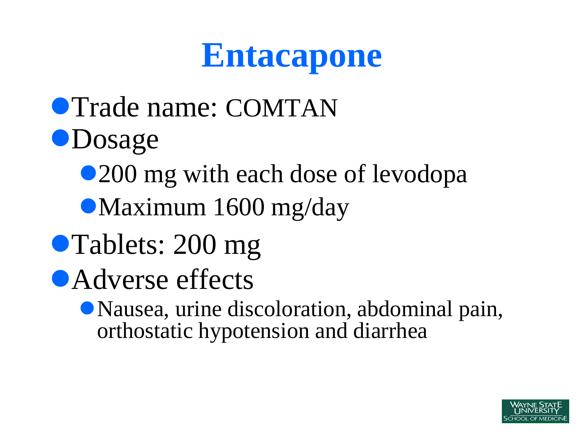### **Entacapone**

- **Trade name: COMTAN OD**osage
	- •200 mg with each dose of levodopa
	- Maximum 1600 mg/day
- Tablets: 200 mg
- Adverse effects
	- Nausea, urine discoloration, abdominal pain, orthostatic hypotension and diarrhea

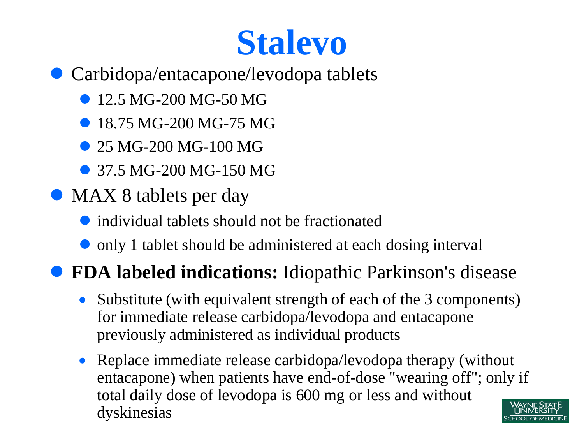### **Stalevo**

- Carbidopa/entacapone/levodopa tablets
	- 12.5 MG-200 MG-50 MG
	- 18.75 MG-200 MG-75 MG
	- 25 MG-200 MG-100 MG
	- 37.5 MG-200 MG-150 MG
- MAX 8 tablets per day
	- individual tablets should not be fractionated
	- only 1 tablet should be administered at each dosing interval

#### **FDA labeled indications:** Idiopathic Parkinson's disease

- Substitute (with equivalent strength of each of the 3 components) for immediate release carbidopa/levodopa and entacapone previously administered as individual products
- Replace immediate release carbidopa/levodopa therapy (without entacapone) when patients have end-of-dose "wearing off"; only if total daily dose of levodopa is 600 mg or less and without dyskinesias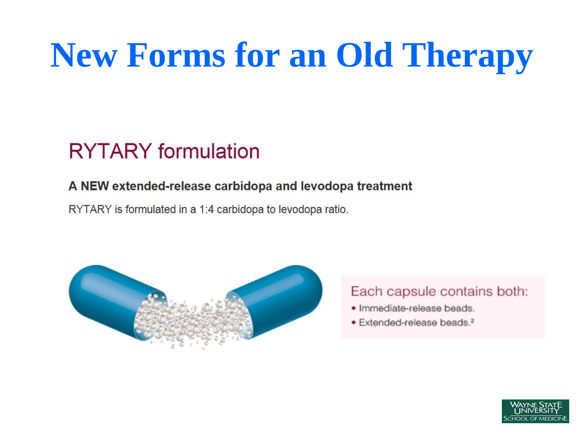# **New Forms for an Old Therapy**

#### **RYTARY** formulation

#### A NEW extended-release carbidopa and levodopa treatment

RYTARY is formulated in a 1:4 carbidopa to levodopa ratio.



#### Each capsule contains both:

- · Immediate-release beads.
- · Extended-release beads.<sup>2</sup>

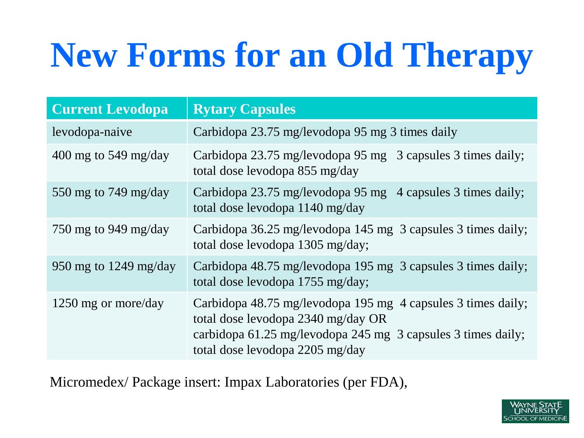# **New Forms for an Old Therapy**

| <b>Current Levodopa</b> | <b>Rytary Capsules</b>                                                                                                                                                                                |
|-------------------------|-------------------------------------------------------------------------------------------------------------------------------------------------------------------------------------------------------|
| levodopa-naive          | Carbidopa 23.75 mg/levodopa 95 mg 3 times daily                                                                                                                                                       |
| 400 mg to 549 mg/day    | Carbidopa 23.75 mg/levodopa 95 mg 3 capsules 3 times daily;<br>total dose levodopa 855 mg/day                                                                                                         |
| 550 mg to 749 mg/day    | Carbidopa 23.75 mg/levodopa 95 mg 4 capsules 3 times daily;<br>total dose levodopa 1140 mg/day                                                                                                        |
| 750 mg to 949 mg/day    | Carbidopa 36.25 mg/levodopa 145 mg 3 capsules 3 times daily;<br>total dose levodopa 1305 mg/day;                                                                                                      |
| 950 mg to 1249 mg/day   | Carbidopa 48.75 mg/levodopa 195 mg 3 capsules 3 times daily;<br>total dose levodopa 1755 mg/day;                                                                                                      |
| 1250 mg or more/day     | Carbidopa 48.75 mg/levodopa 195 mg 4 capsules 3 times daily;<br>total dose levodopa 2340 mg/day OR<br>carbidopa 61.25 mg/levodopa 245 mg 3 capsules 3 times daily;<br>total dose levodopa 2205 mg/day |

Micromedex/ Package insert: Impax Laboratories (per FDA),